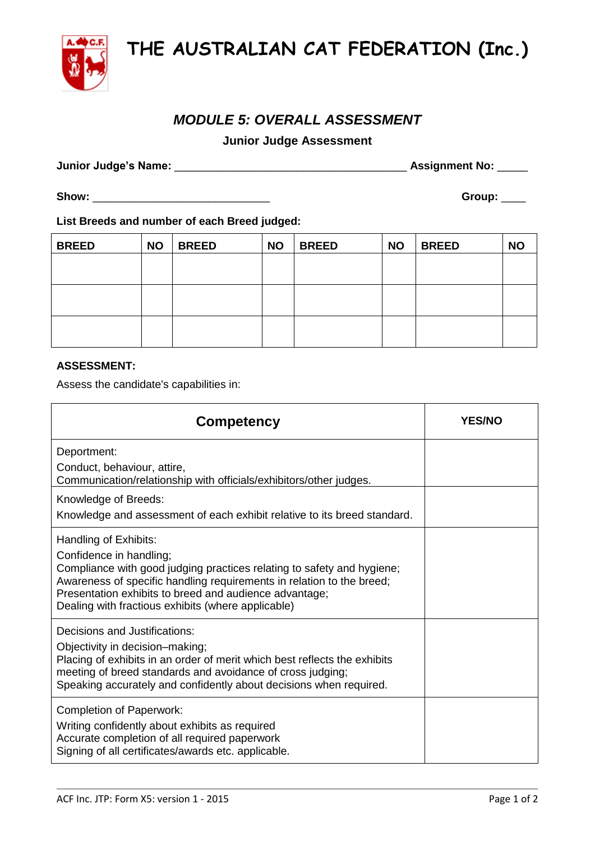**THE AUSTRALIAN CAT FEDERATION (Inc.)**

## *MODULE 5: OVERALL ASSESSMENT*

**Junior Judge Assessment**

**Junior Judge's Name:** \_\_\_\_\_\_\_\_\_\_\_\_\_\_\_\_\_\_\_\_\_\_\_\_\_\_\_\_\_\_\_\_\_\_\_\_\_\_ **Assignment No:** \_\_\_\_\_

**List Breeds and number of each Breed judged:**

| <b>BREED</b> | <b>NO</b> | <b>BREED</b> | <b>NO</b> | <b>BREED</b> | <b>NO</b> | <b>BREED</b> | <b>NO</b> |
|--------------|-----------|--------------|-----------|--------------|-----------|--------------|-----------|
|              |           |              |           |              |           |              |           |
|              |           |              |           |              |           |              |           |
|              |           |              |           |              |           |              |           |
|              |           |              |           |              |           |              |           |
|              |           |              |           |              |           |              |           |
|              |           |              |           |              |           |              |           |

## **ASSESSMENT:**

Assess the candidate's capabilities in:

| <b>Competency</b>                                                                                                                                                                                                                                                                                                   | <b>YES/NO</b> |
|---------------------------------------------------------------------------------------------------------------------------------------------------------------------------------------------------------------------------------------------------------------------------------------------------------------------|---------------|
| Deportment:<br>Conduct, behaviour, attire,<br>Communication/relationship with officials/exhibitors/other judges.                                                                                                                                                                                                    |               |
| Knowledge of Breeds:<br>Knowledge and assessment of each exhibit relative to its breed standard.                                                                                                                                                                                                                    |               |
| Handling of Exhibits:<br>Confidence in handling;<br>Compliance with good judging practices relating to safety and hygiene;<br>Awareness of specific handling requirements in relation to the breed;<br>Presentation exhibits to breed and audience advantage;<br>Dealing with fractious exhibits (where applicable) |               |
| Decisions and Justifications:<br>Objectivity in decision-making;<br>Placing of exhibits in an order of merit which best reflects the exhibits<br>meeting of breed standards and avoidance of cross judging;<br>Speaking accurately and confidently about decisions when required.                                   |               |
| <b>Completion of Paperwork:</b><br>Writing confidently about exhibits as required<br>Accurate completion of all required paperwork<br>Signing of all certificates/awards etc. applicable.                                                                                                                           |               |



**Show:** \_\_\_\_\_\_\_\_\_\_\_\_\_\_\_\_\_\_\_\_\_\_\_\_\_\_\_\_\_ **Group:** \_\_\_\_